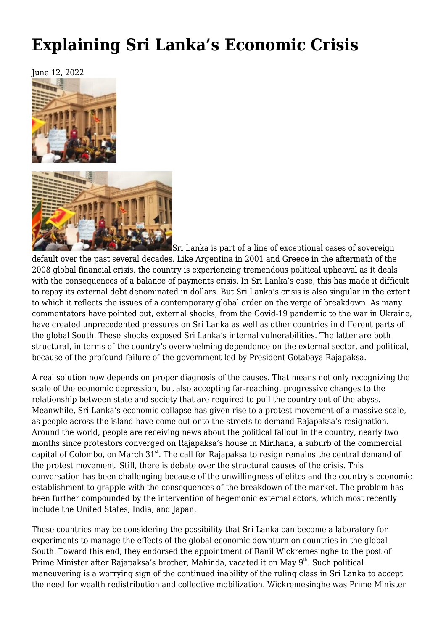# **[Explaining Sri Lanka's Economic Crisis](https://newpol.org/explaining-sri-lankas-economic-crisis/)**





Sri Lanka is part of a line of exceptional cases of sovereign default over the past several decades. Like Argentina in 2001 and Greece in the aftermath of the 2008 global financial crisis, the country is experiencing tremendous political upheaval as it deals with the consequences of a balance of payments crisis. In Sri Lanka's case, this has made it difficult to repay its external debt denominated in dollars. But Sri Lanka's crisis is also singular in the extent to which it reflects the issues of a contemporary global order on the verge of breakdown. As many commentators have pointed out, external shocks, from the Covid-19 pandemic to the war in Ukraine, have created unprecedented pressures on Sri Lanka as well as other countries in different parts of the global South. These shocks exposed Sri Lanka's internal vulnerabilities. The latter are both structural, in terms of the country's overwhelming dependence on the external sector, and political, because of the profound failure of the government led by President Gotabaya Rajapaksa.

A real solution now depends on proper diagnosis of the causes. That means not only recognizing the scale of the economic depression, but also accepting far-reaching, progressive changes to the relationship between state and society that are required to pull the country out of the abyss. Meanwhile, Sri Lanka's economic collapse has given rise to a protest movement of a massive scale, as people across the island have come out onto the streets to demand Rajapaksa's resignation. Around the world, people are receiving news about the political fallout in the country, nearly two months since protestors converged on Rajapaksa's house in Mirihana, a suburb of the commercial capital of Colombo, on March  $31<sup>st</sup>$ . The call for Rajapaksa to resign remains the central demand of the protest movement. Still, there is debate over the structural causes of the crisis. This conversation has been challenging because of the unwillingness of elites and the country's economic establishment to grapple with the consequences of the breakdown of the market. The problem has been further compounded by the intervention of hegemonic external actors, which most recently include the United States, India, and Japan.

These countries may be considering the possibility that Sri Lanka can become a laboratory for experiments to manage the effects of the global economic downturn on countries in the global South. Toward this end, they endorsed the appointment of Ranil Wickremesinghe to the post of Prime Minister after Rajapaksa's brother, Mahinda, vacated it on May 9<sup>th</sup>, Such political maneuvering is a worrying sign of the continued inability of the ruling class in Sri Lanka to accept the need for wealth redistribution and collective mobilization. Wickremesinghe was Prime Minister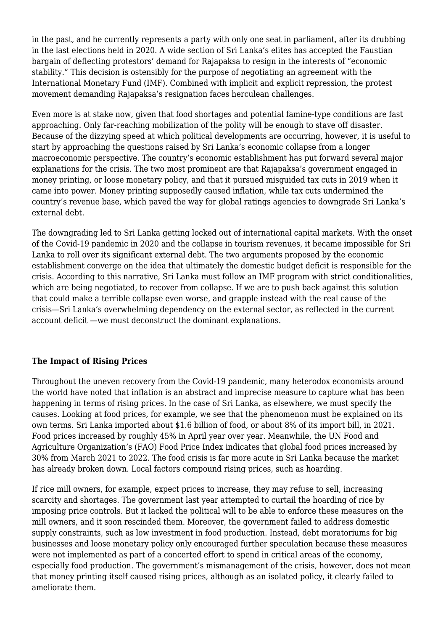in the past, and he currently represents a party with only one seat in parliament, after its drubbing in the last elections held in 2020. A wide section of Sri Lanka's elites has accepted the Faustian bargain of deflecting protestors' demand for Rajapaksa to resign in the interests of "economic stability." This decision is ostensibly for the purpose of negotiating an agreement with the International Monetary Fund (IMF). Combined with implicit and explicit repression, the protest movement demanding Rajapaksa's resignation faces herculean challenges.

Even more is at stake now, given that food shortages and potential famine-type conditions are fast approaching. Only far-reaching mobilization of the polity will be enough to stave off disaster. Because of the dizzying speed at which political developments are occurring, however, it is useful to start by approaching the questions raised by Sri Lanka's economic collapse from a longer macroeconomic perspective. The country's economic establishment has put forward several major explanations for the crisis. The two most prominent are that Rajapaksa's government engaged in money printing, or loose monetary policy, and that it pursued misguided tax cuts in 2019 when it came into power. Money printing supposedly caused inflation, while tax cuts undermined the country's revenue base, which paved the way for global ratings agencies to downgrade Sri Lanka's external debt.

The downgrading led to Sri Lanka getting locked out of international capital markets. With the onset of the Covid-19 pandemic in 2020 and the collapse in tourism revenues, it became impossible for Sri Lanka to roll over its significant external debt. The two arguments proposed by the economic establishment converge on the idea that ultimately the domestic budget deficit is responsible for the crisis. According to this narrative, Sri Lanka must follow an IMF program with strict conditionalities, which are being negotiated, to recover from collapse. If we are to push back against this solution that could make a terrible collapse even worse, and grapple instead with the real cause of the crisis—Sri Lanka's overwhelming dependency on the external sector, as reflected in the current account deficit —we must deconstruct the dominant explanations.

# **The Impact of Rising Prices**

Throughout the uneven recovery from the Covid-19 pandemic, many heterodox economists around the world have noted that inflation is an abstract and imprecise measure to capture what has been happening in terms of rising prices. In the case of Sri Lanka, as elsewhere, we must specify the causes. Looking at food prices, for example, we see that the phenomenon must be explained on its own terms. Sri Lanka imported about \$1.6 billion of food, or about 8% of its import bill, in 2021. Food prices increased by roughly 45% in April year over year. Meanwhile, the UN Food and Agriculture Organization's (FAO) Food Price Index indicates that global food prices increased by 30% from March 2021 to 2022. The food crisis is far more acute in Sri Lanka because the market has already broken down. Local factors compound rising prices, such as hoarding.

If rice mill owners, for example, expect prices to increase, they may refuse to sell, increasing scarcity and shortages. The government last year attempted to curtail the hoarding of rice by imposing price controls. But it lacked the political will to be able to enforce these measures on the mill owners, and it soon rescinded them. Moreover, the government failed to address domestic supply constraints, such as low investment in food production. Instead, debt moratoriums for big businesses and loose monetary policy only encouraged further speculation because these measures were not implemented as part of a concerted effort to spend in critical areas of the economy, especially food production. The government's mismanagement of the crisis, however, does not mean that money printing itself caused rising prices, although as an isolated policy, it clearly failed to ameliorate them.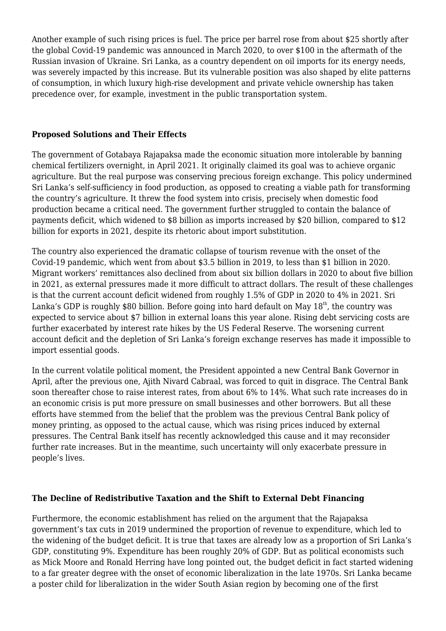Another example of such rising prices is fuel. The price per barrel rose from about \$25 shortly after the global Covid-19 pandemic was announced in March 2020, to over \$100 in the aftermath of the Russian invasion of Ukraine. Sri Lanka, as a country dependent on oil imports for its energy needs, was severely impacted by this increase. But its vulnerable position was also shaped by elite patterns of consumption, in which luxury high-rise development and private vehicle ownership has taken precedence over, for example, investment in the public transportation system.

### **Proposed Solutions and Their Effects**

The government of Gotabaya Rajapaksa made the economic situation more intolerable by banning chemical fertilizers overnight, in April 2021. It originally claimed its goal was to achieve organic agriculture. But the real purpose was conserving precious foreign exchange. This policy undermined Sri Lanka's self-sufficiency in food production, as opposed to creating a viable path for transforming the country's agriculture. It threw the food system into crisis, precisely when domestic food production became a critical need. The government further struggled to contain the balance of payments deficit, which widened to \$8 billion as imports increased by \$20 billion, compared to \$12 billion for exports in 2021, despite its rhetoric about import substitution.

The country also experienced the dramatic collapse of tourism revenue with the onset of the Covid-19 pandemic, which went from about \$3.5 billion in 2019, to less than \$1 billion in 2020. Migrant workers' remittances also declined from about six billion dollars in 2020 to about five billion in 2021, as external pressures made it more difficult to attract dollars. The result of these challenges is that the current account deficit widened from roughly 1.5% of GDP in 2020 to 4% in 2021. Sri Lanka's GDP is roughly \$80 billion. Before going into hard default on May  $18<sup>th</sup>$ , the country was expected to service about \$7 billion in external loans this year alone. Rising debt servicing costs are further exacerbated by interest rate hikes by the US Federal Reserve. The worsening current account deficit and the depletion of Sri Lanka's foreign exchange reserves has made it impossible to import essential goods.

In the current volatile political moment, the President appointed a new Central Bank Governor in April, after the previous one, Ajith Nivard Cabraal, was forced to quit in disgrace. The Central Bank soon thereafter chose to raise interest rates, from about 6% to 14%. What such rate increases do in an economic crisis is put more pressure on small businesses and other borrowers. But all these efforts have stemmed from the belief that the problem was the previous Central Bank policy of money printing, as opposed to the actual cause, which was rising prices induced by external pressures. The Central Bank itself has recently acknowledged this cause and it may reconsider further rate increases. But in the meantime, such uncertainty will only exacerbate pressure in people's lives.

# **The Decline of Redistributive Taxation and the Shift to External Debt Financing**

Furthermore, the economic establishment has relied on the argument that the Rajapaksa government's tax cuts in 2019 undermined the proportion of revenue to expenditure, which led to the widening of the budget deficit. It is true that taxes are already low as a proportion of Sri Lanka's GDP, constituting 9%. Expenditure has been roughly 20% of GDP. But as political economists such as Mick Moore and Ronald Herring have long pointed out, the budget deficit in fact started widening to a far greater degree with the onset of economic liberalization in the late 1970s. Sri Lanka became a poster child for liberalization in the wider South Asian region by becoming one of the first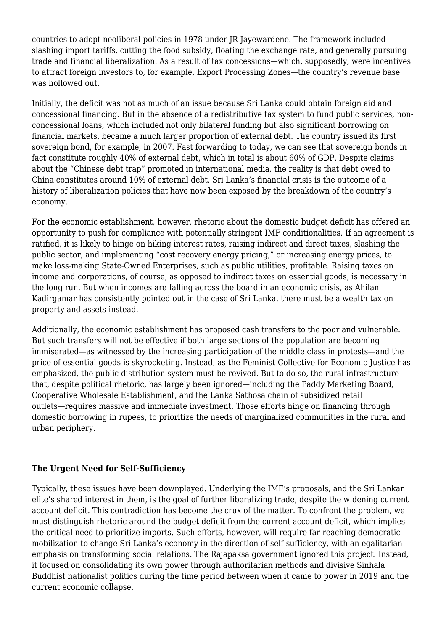countries to adopt neoliberal policies in 1978 under JR Jayewardene. The framework included slashing import tariffs, cutting the food subsidy, floating the exchange rate, and generally pursuing trade and financial liberalization. As a result of tax concessions—which, supposedly, were incentives to attract foreign investors to, for example, Export Processing Zones—the country's revenue base was hollowed out.

Initially, the deficit was not as much of an issue because Sri Lanka could obtain foreign aid and concessional financing. But in the absence of a redistributive tax system to fund public services, nonconcessional loans, which included not only bilateral funding but also significant borrowing on financial markets, became a much larger proportion of external debt. The country issued its first sovereign bond, for example, in 2007. Fast forwarding to today, we can see that sovereign bonds in fact constitute roughly 40% of external debt, which in total is about 60% of GDP. Despite claims about the "Chinese debt trap" promoted in international media, the reality is that debt owed to China constitutes around 10% of external debt. Sri Lanka's financial crisis is the outcome of a history of liberalization policies that have now been exposed by the breakdown of the country's economy.

For the economic establishment, however, rhetoric about the domestic budget deficit has offered an opportunity to push for compliance with potentially stringent IMF conditionalities. If an agreement is ratified, it is likely to hinge on hiking interest rates, raising indirect and direct taxes, slashing the public sector, and implementing "cost recovery energy pricing," or increasing energy prices, to make loss-making State-Owned Enterprises, such as public utilities, profitable. Raising taxes on income and corporations, of course, as opposed to indirect taxes on essential goods, is necessary in the long run. But when incomes are falling across the board in an economic crisis, as Ahilan Kadirgamar has consistently pointed out in the case of Sri Lanka, there must be a wealth tax on property and assets instead.

Additionally, the economic establishment has proposed cash transfers to the poor and vulnerable. But such transfers will not be effective if both large sections of the population are becoming immiserated—as witnessed by the increasing participation of the middle class in protests—and the price of essential goods is skyrocketing. Instead, as the Feminist Collective for Economic Justice has emphasized, the public distribution system must be revived. But to do so, the rural infrastructure that, despite political rhetoric, has largely been ignored—including the Paddy Marketing Board, Cooperative Wholesale Establishment, and the Lanka Sathosa chain of subsidized retail outlets—requires massive and immediate investment. Those efforts hinge on financing through domestic borrowing in rupees, to prioritize the needs of marginalized communities in the rural and urban periphery.

# **The Urgent Need for Self-Sufficiency**

Typically, these issues have been downplayed. Underlying the IMF's proposals, and the Sri Lankan elite's shared interest in them, is the goal of further liberalizing trade, despite the widening current account deficit. This contradiction has become the crux of the matter. To confront the problem, we must distinguish rhetoric around the budget deficit from the current account deficit, which implies the critical need to prioritize imports. Such efforts, however, will require far-reaching democratic mobilization to change Sri Lanka's economy in the direction of self-sufficiency, with an egalitarian emphasis on transforming social relations. The Rajapaksa government ignored this project. Instead, it focused on consolidating its own power through authoritarian methods and divisive Sinhala Buddhist nationalist politics during the time period between when it came to power in 2019 and the current economic collapse.